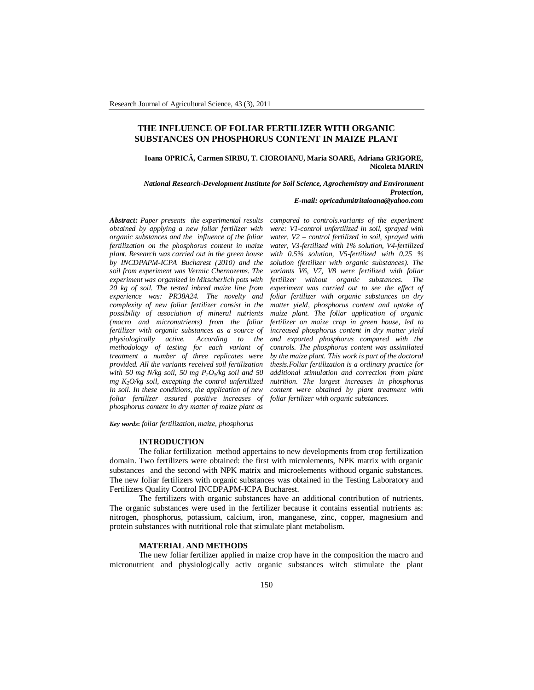# **THE INFLUENCE OF FOLIAR FERTILIZER WITH ORGANIC SUBSTANCES ON PHOSPHORUS CONTENT IN MAIZE PLANT**

**Ioana OPRICĂ, Carmen SIRBU, T. CIOROIANU, Maria SOARE, Adriana GRIGORE, Nicoleta MARIN**

*National Research-Development Institute for Soil Science, Agrochemistry and Environment Protection, E-mail: opricadumitritaioana@yahoo.com*

*Abstract: Paper presents the experimental results obtained by applying a new foliar fertilizer with organic substances and the influence of the foliar fertilization on the phosphorus content in maize plant. Research was carried out in the green house by INCDPAPM-ICPA Bucharest (2010) and the soil from experiment was Vermic Chernozems. The experiment was organized in Mitscherlich pots with 20 kg of soil. The tested inbred maize line from experience was: PR38A24. The novelty and complexity of new foliar fertilizer consist in the possibility of association of mineral nutrients (macro and micronutrients) from the foliar fertilizer with organic substances as a source of physiologically active. According to the methodology of testing for each variant of treatment a number of three replicates were provided. All the variants received soil fertilization with 50 mg N/kg soil, 50 mg P2O<sup>5</sup> /kg soil and 50 mg K2O/kg soil, excepting the control unfertilized in soil. In these conditions, the application of new foliar fertilizer assured positive increases of foliar fertilizer with organic substances. phosphorus content in dry matter of maize plant as* 

*compared to controls.variants of the experiment were: V1-control unfertilized in soil, sprayed with water, V2 – control fertilized in soil, sprayed with water, V3-fertilized with 1% solution, V4-fertilized with 0.5% solution, V5-fertilized with 0.25 % solution (fertilizer with organic substances). The variants V6, V7, V8 were fertilized with foliar fertilizer without organic substances. The experiment was carried out to see the effect of foliar fertilizer with organic substances on dry matter yield, phosphorus content and uptake of maize plant. The foliar application of organic fertilizer on maize crop in green house, led to increased phosphorus content in dry matter yield and exported phosphorus compared with the controls. The phosphorus content was assimilated by the maize plant. This work is part of the doctoral thesis.Foliar fertilization is a ordinary practice for additional stimulation and correction from plant nutrition. The largest increases in phosphorus content were obtained by plant treatment with* 

*Key words***:** *foliar fertilization, maize, phosphorus*

# **INTRODUCTION**

The foliar fertilization method appertains to new developments from crop fertilization domain. Two fertilizers were obtained: the first with microlements, NPK matrix with organic substances and the second with NPK matrix and microelements withoud organic substances. The new foliar fertilizers with organic substances was obtained in the Testing Laboratory and Fertilizers Quality Control INCDPAPM-ICPA Bucharest.

The fertilizers with organic substances have an additional contribution of nutrients. The organic substances were used in the fertilizer because it contains essential nutrients as: nitrogen, phosphorus, potassium, calcium, iron, manganese, zinc, copper, magnesium and protein substances with nutritional role that stimulate plant metabolism.

### **MATERIAL AND METHODS**

The new foliar fertilizer applied in maize crop have in the composition the macro and micronutrient and physiologically activ organic substances witch stimulate the plant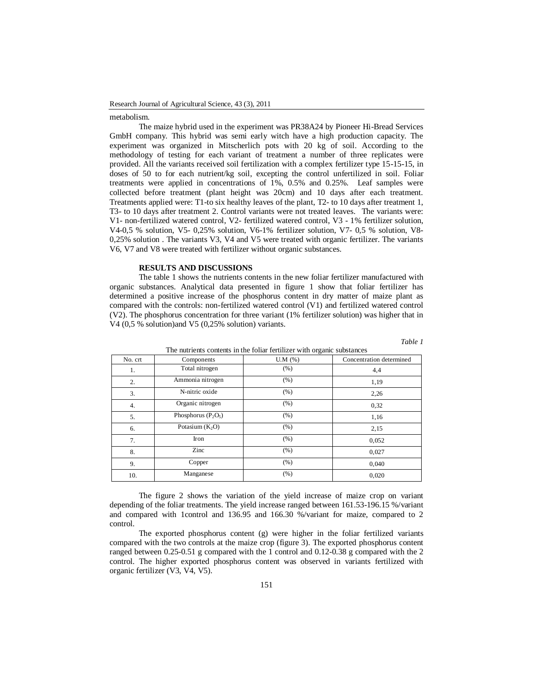### Research Journal of Agricultural Science, 43 (3), 2011

#### metabolism.

The maize hybrid used in the experiment was PR38A24 by Pioneer Hi-Bread Services GmbH company. This hybrid was semi early witch have a high production capacity. The experiment was organized in Mitscherlich pots with 20 kg of soil. According to the methodology of testing for each variant of treatment a number of three replicates were provided. All the variants received soil fertilization with a complex fertilizer type 15-15-15, in doses of 50 to for each nutrient/kg soil, excepting the control unfertilized in soil. Foliar treatments were applied in concentrations of 1%, 0.5% and 0.25%. Leaf samples were collected before treatment (plant height was 20cm) and 10 days after each treatment. Treatments applied were: T1-to six healthy leaves of the plant, T2- to 10 days after treatment 1, T3- to 10 days after treatment 2. Control variants were not treated leaves. The variants were: V1- non-fertilized watered control, V2- fertilized watered control, V3 - 1% fertilizer solution, V4-0,5 % solution, V5- 0,25% solution, V6-1% fertilizer solution, V7- 0,5 % solution, V8- 0,25% solution . The variants V3, V4 and V5 were treated with organic fertilizer. The variants V6, V7 and V8 were treated with fertilizer without organic substances.

# **RESULTS AND DISCUSSIONS**

The table 1 shows the nutrients contents in the new foliar fertilizer manufactured with organic substances. Analytical data presented in figure 1 show that foliar fertilizer has determined a positive increase of the phosphorus content in dry matter of maize plant as compared with the controls: non-fertilized watered control (V1) and fertilized watered control (V2). The phosphorus concentration for three variant (1% fertilizer solution) was higher that in V4 (0,5 % solution)and V5 (0,25% solution) variants.

*Table 1*

| The nutrients contents in the foliar fertifizer with organic substances |                       |         |                          |
|-------------------------------------------------------------------------|-----------------------|---------|--------------------------|
| No. crt                                                                 | Components            | U.M (%) | Concentration determined |
| 1.                                                                      | Total nitrogen        | (% )    | 4,4                      |
| 2.                                                                      | Ammonia nitrogen      | (% )    | 1,19                     |
| 3.                                                                      | N-nitric oxide        | (% )    | 2,26                     |
| 4.                                                                      | Organic nitrogen      | (% )    | 0,32                     |
| 5.                                                                      | Phosphorus $(P_2O_5)$ | (% )    | 1,16                     |
| 6.                                                                      | Potasium $(K_2O)$     | (% )    | 2,15                     |
| 7.                                                                      | Iron                  | (% )    | 0,052                    |
| 8.                                                                      | Zinc                  | (% )    | 0,027                    |
| 9.                                                                      | Copper                | (% )    | 0,040                    |
| 10.                                                                     | Manganese             | (% )    | 0,020                    |

The nutrients contents in the foliar fertilizer with organic substances

The figure 2 shows the variation of the yield increase of maize crop on variant depending of the foliar treatments. The yield increase ranged between 161.53-196.15 %/variant and compared with 1control and 136.95 and 166.30 %/variant for maize, compared to 2 control.

The exported phosphorus content (g) were higher in the foliar fertilized variants compared with the two controls at the maize crop (figure 3). The exported phosphorus content ranged between 0.25-0.51 g compared with the 1 control and 0.12-0.38 g compared with the 2 control. The higher exported phosphorus content was observed in variants fertilized with organic fertilizer (V3, V4, V5).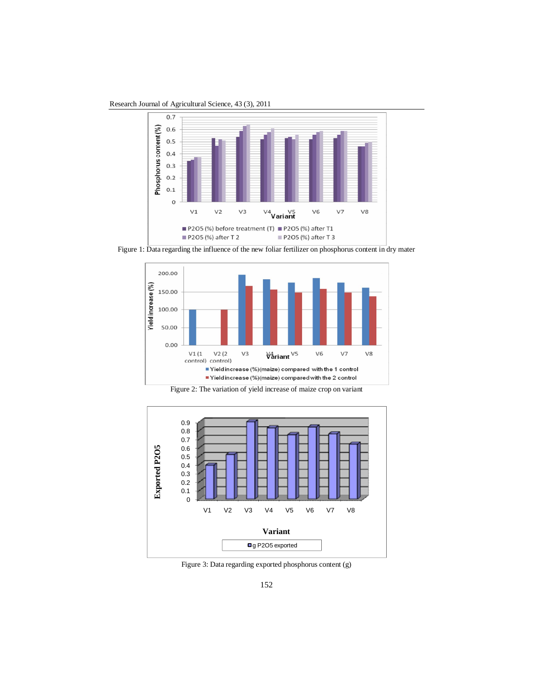Research Journal of Agricultural Science, 43 (3), 2011



Figure 1: Data regarding the influence of the new foliar fertilizer on phosphorus content in dry mater







Figure 3: Data regarding exported phosphorus content (g)